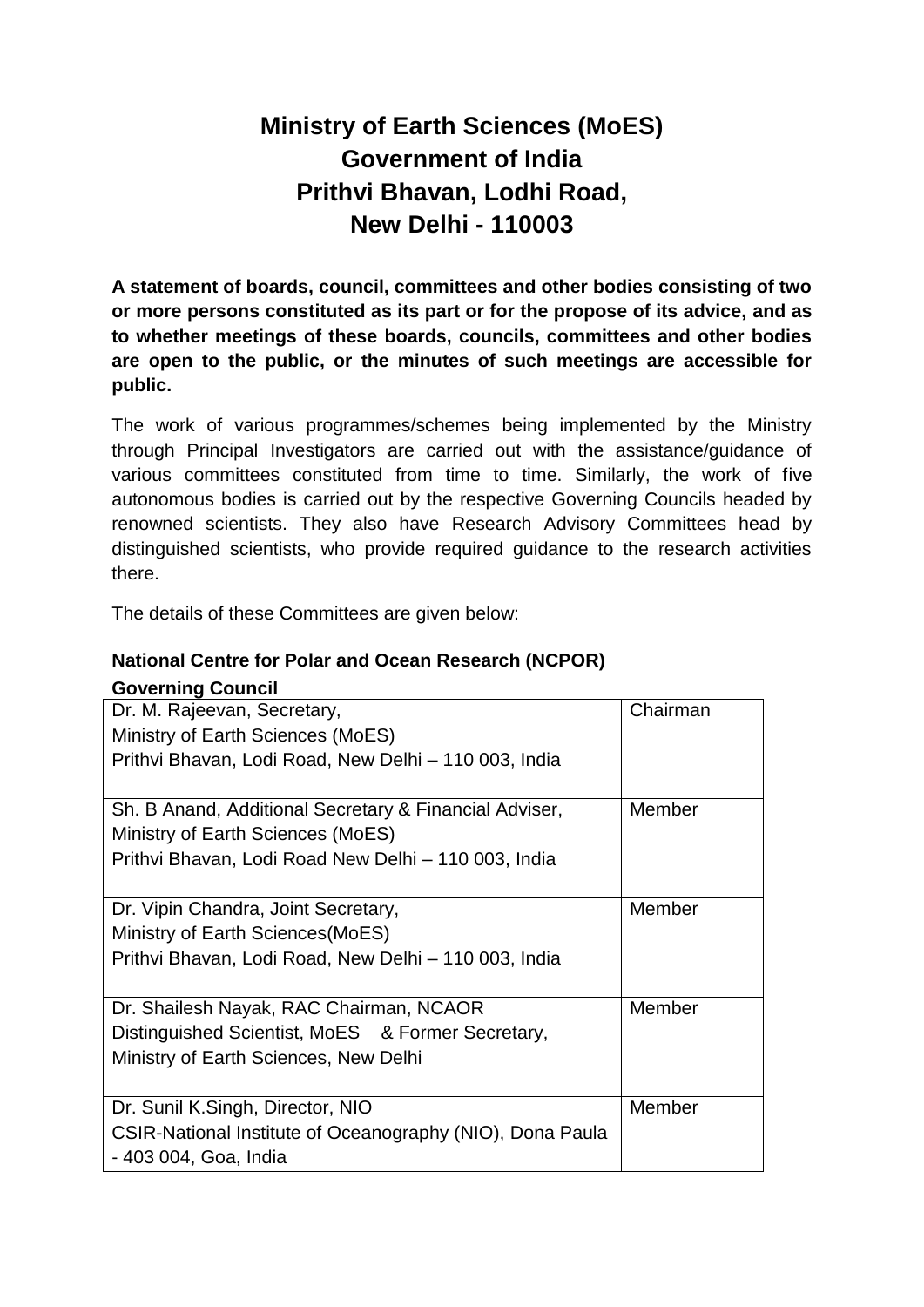# **Ministry of Earth Sciences (MoES) Government of India Prithvi Bhavan, Lodhi Road, New Delhi - 110003**

**A statement of boards, council, committees and other bodies consisting of two or more persons constituted as its part or for the propose of its advice, and as to whether meetings of these boards, councils, committees and other bodies are open to the public, or the minutes of such meetings are accessible for public.**

The work of various programmes/schemes being implemented by the Ministry through Principal Investigators are carried out with the assistance/guidance of various committees constituted from time to time. Similarly, the work of five autonomous bodies is carried out by the respective Governing Councils headed by renowned scientists. They also have Research Advisory Committees head by distinguished scientists, who provide required guidance to the research activities there.

The details of these Committees are given below:

### **National Centre for Polar and Ocean Research (NCPOR)**

#### **Governing Council**

| Dr. M. Rajeevan, Secretary,<br>Ministry of Earth Sciences (MoES)<br>Prithvi Bhavan, Lodi Road, New Delhi - 110 003, India                           | Chairman |
|-----------------------------------------------------------------------------------------------------------------------------------------------------|----------|
| Sh. B Anand, Additional Secretary & Financial Adviser,<br>Ministry of Earth Sciences (MoES)<br>Prithvi Bhavan, Lodi Road New Delhi - 110 003, India | Member   |
| Dr. Vipin Chandra, Joint Secretary,<br>Ministry of Earth Sciences (MoES)<br>Prithvi Bhavan, Lodi Road, New Delhi - 110 003, India                   | Member   |
| Dr. Shailesh Nayak, RAC Chairman, NCAOR<br>Distinguished Scientist, MoES & Former Secretary,<br>Ministry of Earth Sciences, New Delhi               | Member   |
| Dr. Sunil K.Singh, Director, NIO<br>CSIR-National Institute of Oceanography (NIO), Dona Paula<br>- 403 004, Goa, India                              | Member   |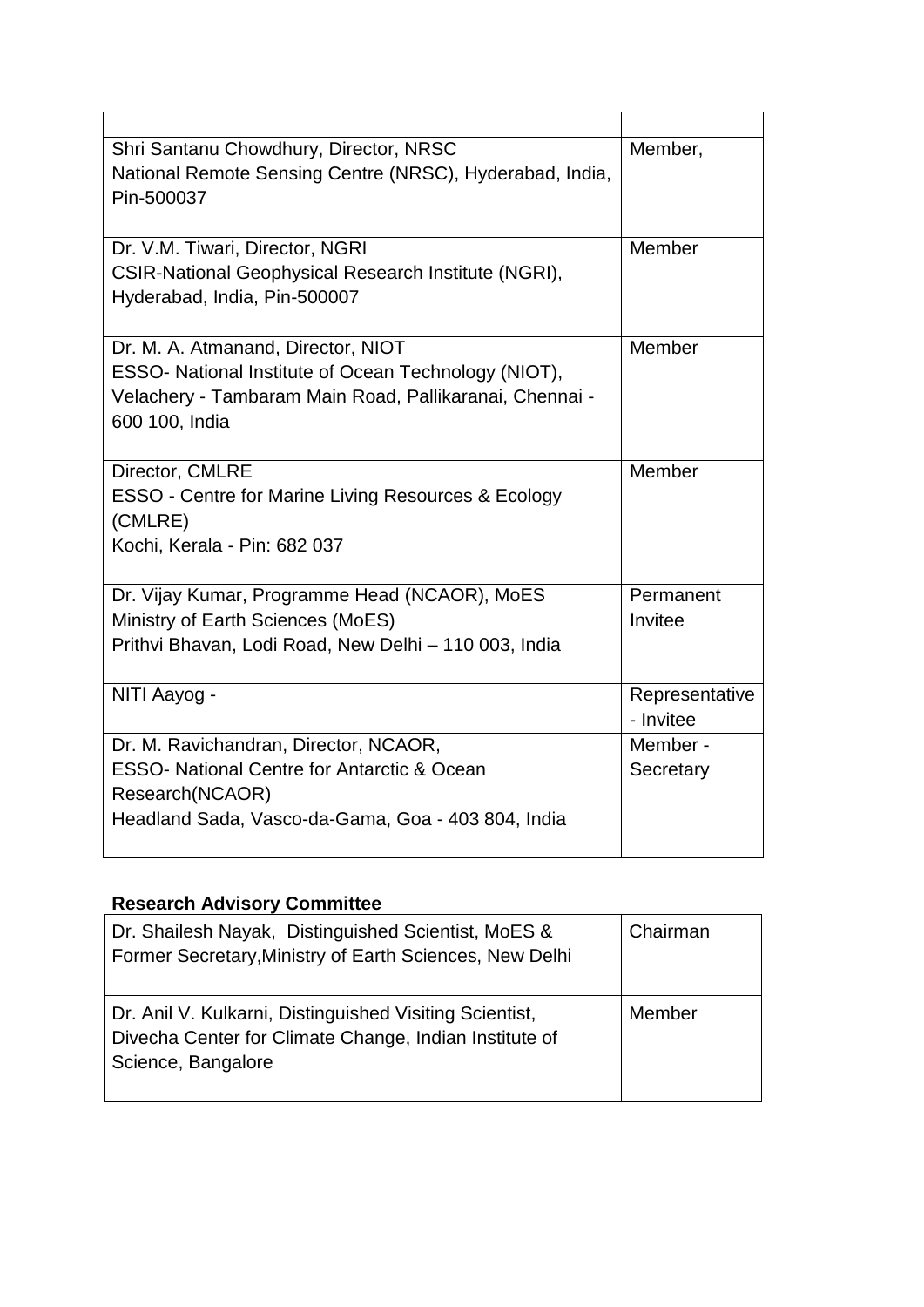| Shri Santanu Chowdhury, Director, NRSC                         | Member,        |
|----------------------------------------------------------------|----------------|
| National Remote Sensing Centre (NRSC), Hyderabad, India,       |                |
| Pin-500037                                                     |                |
|                                                                |                |
| Dr. V.M. Tiwari, Director, NGRI                                | Member         |
| CSIR-National Geophysical Research Institute (NGRI),           |                |
| Hyderabad, India, Pin-500007                                   |                |
|                                                                |                |
| Dr. M. A. Atmanand, Director, NIOT                             | Member         |
| ESSO- National Institute of Ocean Technology (NIOT),           |                |
| Velachery - Tambaram Main Road, Pallikaranai, Chennai -        |                |
| 600 100, India                                                 |                |
|                                                                |                |
| Director, CMLRE                                                | Member         |
| <b>ESSO - Centre for Marine Living Resources &amp; Ecology</b> |                |
| (CMLRE)                                                        |                |
| Kochi, Kerala - Pin: 682 037                                   |                |
|                                                                |                |
| Dr. Vijay Kumar, Programme Head (NCAOR), MoES                  | Permanent      |
| Ministry of Earth Sciences (MoES)                              | Invitee        |
| Prithvi Bhavan, Lodi Road, New Delhi - 110 003, India          |                |
|                                                                |                |
| NITI Aayog -                                                   | Representative |
|                                                                | - Invitee      |
| Dr. M. Ravichandran, Director, NCAOR,                          | Member -       |
| <b>ESSO- National Centre for Antarctic &amp; Ocean</b>         | Secretary      |
| Research(NCAOR)                                                |                |
| Headland Sada, Vasco-da-Gama, Goa - 403 804, India             |                |
|                                                                |                |

## **Research Advisory Committee**

| Dr. Shailesh Nayak, Distinguished Scientist, MoES &<br>Former Secretary, Ministry of Earth Sciences, New Delhi                          | Chairman |
|-----------------------------------------------------------------------------------------------------------------------------------------|----------|
| Dr. Anil V. Kulkarni, Distinguished Visiting Scientist,<br>Divecha Center for Climate Change, Indian Institute of<br>Science, Bangalore | Member   |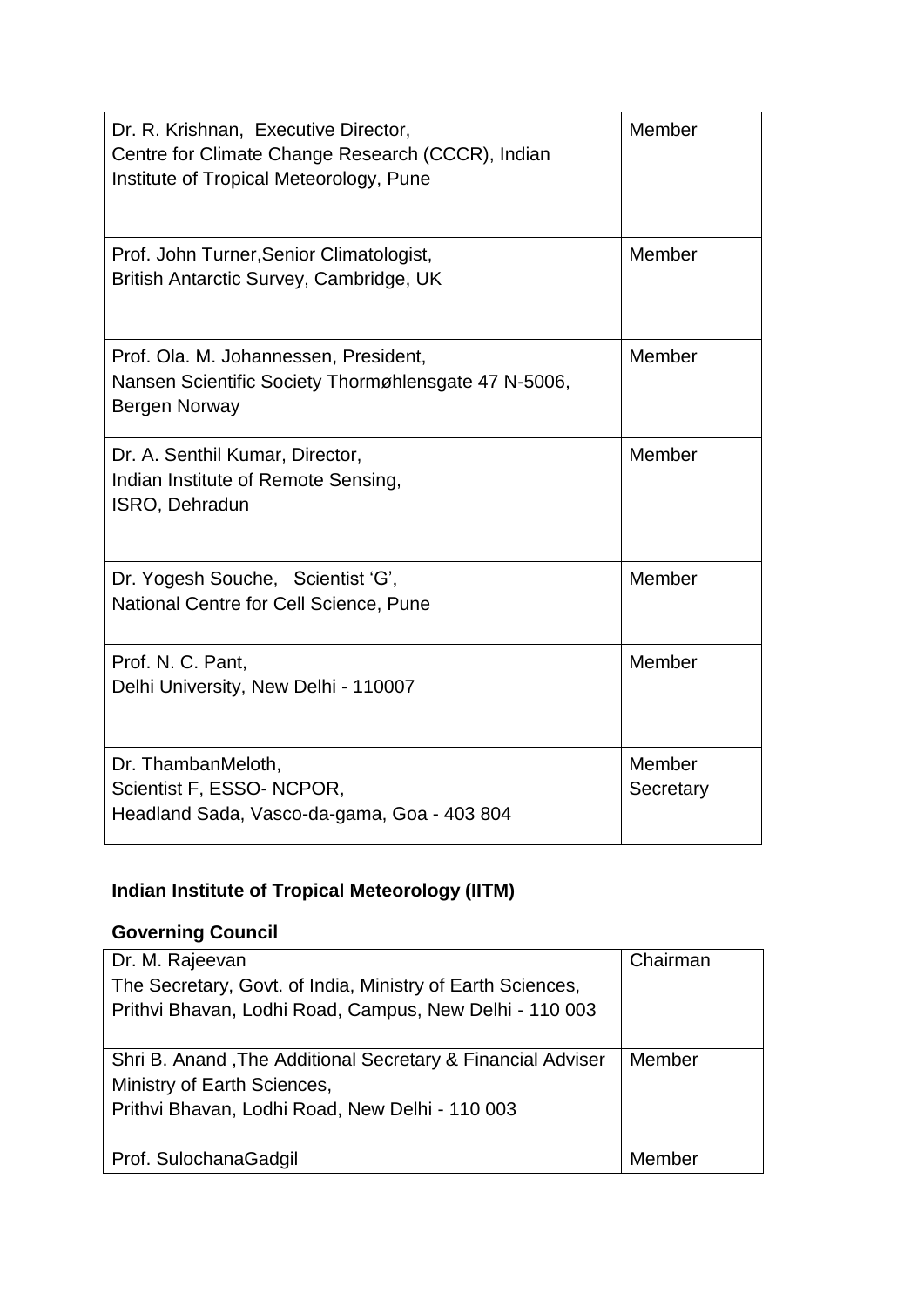| Dr. R. Krishnan, Executive Director,<br>Centre for Climate Change Research (CCCR), Indian<br>Institute of Tropical Meteorology, Pune | Member              |
|--------------------------------------------------------------------------------------------------------------------------------------|---------------------|
| Prof. John Turner, Senior Climatologist,<br>British Antarctic Survey, Cambridge, UK                                                  | Member              |
| Prof. Ola. M. Johannessen, President,<br>Nansen Scientific Society Thormøhlensgate 47 N-5006,<br>Bergen Norway                       | Member              |
| Dr. A. Senthil Kumar, Director,<br>Indian Institute of Remote Sensing,<br>ISRO, Dehradun                                             | Member              |
| Dr. Yogesh Souche, Scientist 'G',<br>National Centre for Cell Science, Pune                                                          | Member              |
| Prof. N. C. Pant,<br>Delhi University, New Delhi - 110007                                                                            | Member              |
| Dr. ThambanMeloth,<br>Scientist F, ESSO- NCPOR,<br>Headland Sada, Vasco-da-gama, Goa - 403 804                                       | Member<br>Secretary |

### **Indian Institute of Tropical Meteorology (IITM)**

### **Governing Council**

| Dr. M. Rajeevan                                             | Chairman |
|-------------------------------------------------------------|----------|
| The Secretary, Govt. of India, Ministry of Earth Sciences,  |          |
| Prithvi Bhavan, Lodhi Road, Campus, New Delhi - 110 003     |          |
|                                                             |          |
| Shri B. Anand, The Additional Secretary & Financial Adviser | Member   |
| Ministry of Earth Sciences,                                 |          |
| Prithvi Bhavan, Lodhi Road, New Delhi - 110 003             |          |
|                                                             |          |
| Prof. SulochanaGadgil                                       | Member   |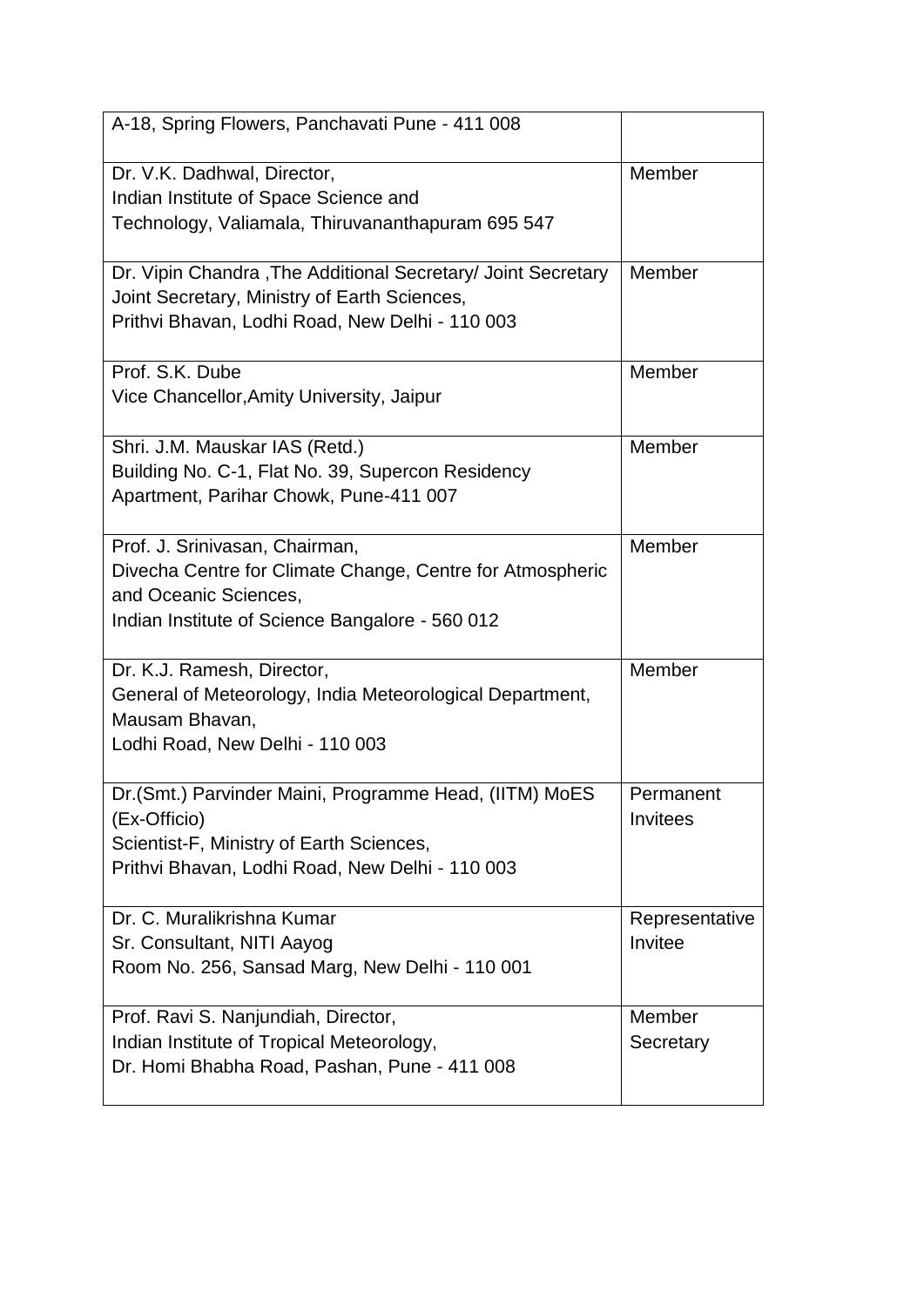| A-18, Spring Flowers, Panchavati Pune - 411 008                                                                                                                         |                              |
|-------------------------------------------------------------------------------------------------------------------------------------------------------------------------|------------------------------|
| Dr. V.K. Dadhwal, Director,<br>Indian Institute of Space Science and<br>Technology, Valiamala, Thiruvananthapuram 695 547                                               | Member                       |
| Dr. Vipin Chandra, The Additional Secretary/ Joint Secretary<br>Joint Secretary, Ministry of Earth Sciences,<br>Prithvi Bhavan, Lodhi Road, New Delhi - 110 003         | Member                       |
| Prof. S.K. Dube<br>Vice Chancellor, Amity University, Jaipur                                                                                                            | Member                       |
| Shri. J.M. Mauskar IAS (Retd.)<br>Building No. C-1, Flat No. 39, Supercon Residency<br>Apartment, Parihar Chowk, Pune-411 007                                           | Member                       |
| Prof. J. Srinivasan, Chairman,<br>Divecha Centre for Climate Change, Centre for Atmospheric<br>and Oceanic Sciences,<br>Indian Institute of Science Bangalore - 560 012 | Member                       |
| Dr. K.J. Ramesh, Director,<br>General of Meteorology, India Meteorological Department,<br>Mausam Bhavan,<br>Lodhi Road, New Delhi - 110 003                             | Member                       |
| Dr. (Smt.) Parvinder Maini, Programme Head, (IITM) MoES<br>(Ex-Officio)<br>Scientist-F, Ministry of Earth Sciences,<br>Prithvi Bhavan, Lodhi Road, New Delhi - 110 003  | Permanent<br><b>Invitees</b> |
| Dr. C. Muralikrishna Kumar<br>Sr. Consultant, NITI Aayog<br>Room No. 256, Sansad Marg, New Delhi - 110 001                                                              | Representative<br>Invitee    |
| Prof. Ravi S. Nanjundiah, Director,<br>Indian Institute of Tropical Meteorology,<br>Dr. Homi Bhabha Road, Pashan, Pune - 411 008                                        | Member<br>Secretary          |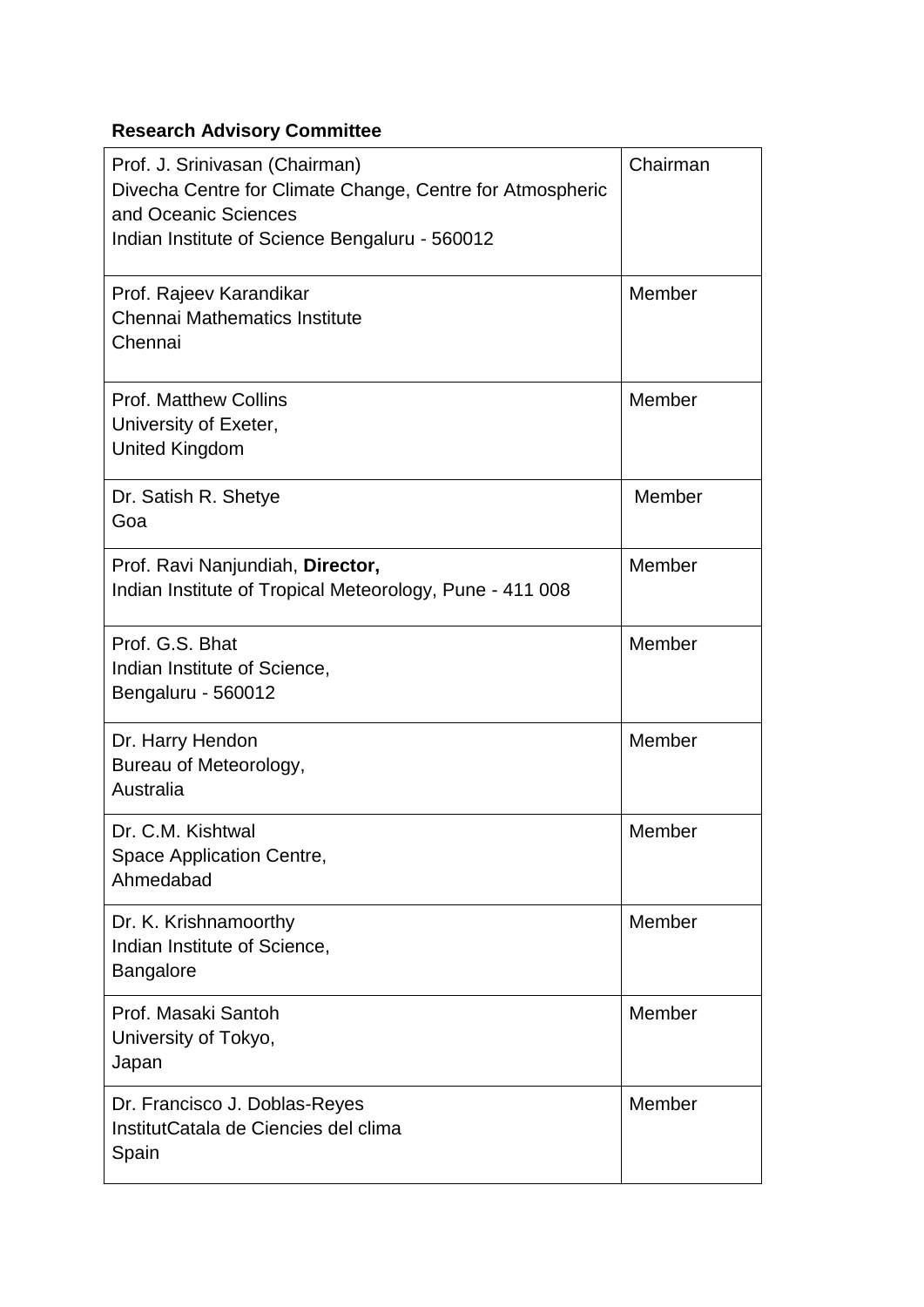### **Research Advisory Committee**

| Prof. J. Srinivasan (Chairman)<br>Divecha Centre for Climate Change, Centre for Atmospheric<br>and Oceanic Sciences<br>Indian Institute of Science Bengaluru - 560012 | Chairman |
|-----------------------------------------------------------------------------------------------------------------------------------------------------------------------|----------|
| Prof. Rajeev Karandikar<br>Chennai Mathematics Institute<br>Chennai                                                                                                   | Member   |
| <b>Prof. Matthew Collins</b><br>University of Exeter,<br><b>United Kingdom</b>                                                                                        | Member   |
| Dr. Satish R. Shetye<br>Goa                                                                                                                                           | Member   |
| Prof. Ravi Nanjundiah, Director,<br>Indian Institute of Tropical Meteorology, Pune - 411 008                                                                          | Member   |
| Prof. G.S. Bhat<br>Indian Institute of Science,<br>Bengaluru - 560012                                                                                                 | Member   |
| Dr. Harry Hendon<br>Bureau of Meteorology,<br>Australia                                                                                                               | Member   |
| Dr. C.M. Kishtwal<br>Space Application Centre,<br>Ahmedabad                                                                                                           | Member   |
| Dr. K. Krishnamoorthy<br>Indian Institute of Science,<br>Bangalore                                                                                                    | Member   |
| Prof. Masaki Santoh<br>University of Tokyo,<br>Japan                                                                                                                  | Member   |
| Dr. Francisco J. Doblas-Reyes<br>InstitutCatala de Ciencies del clima<br>Spain                                                                                        | Member   |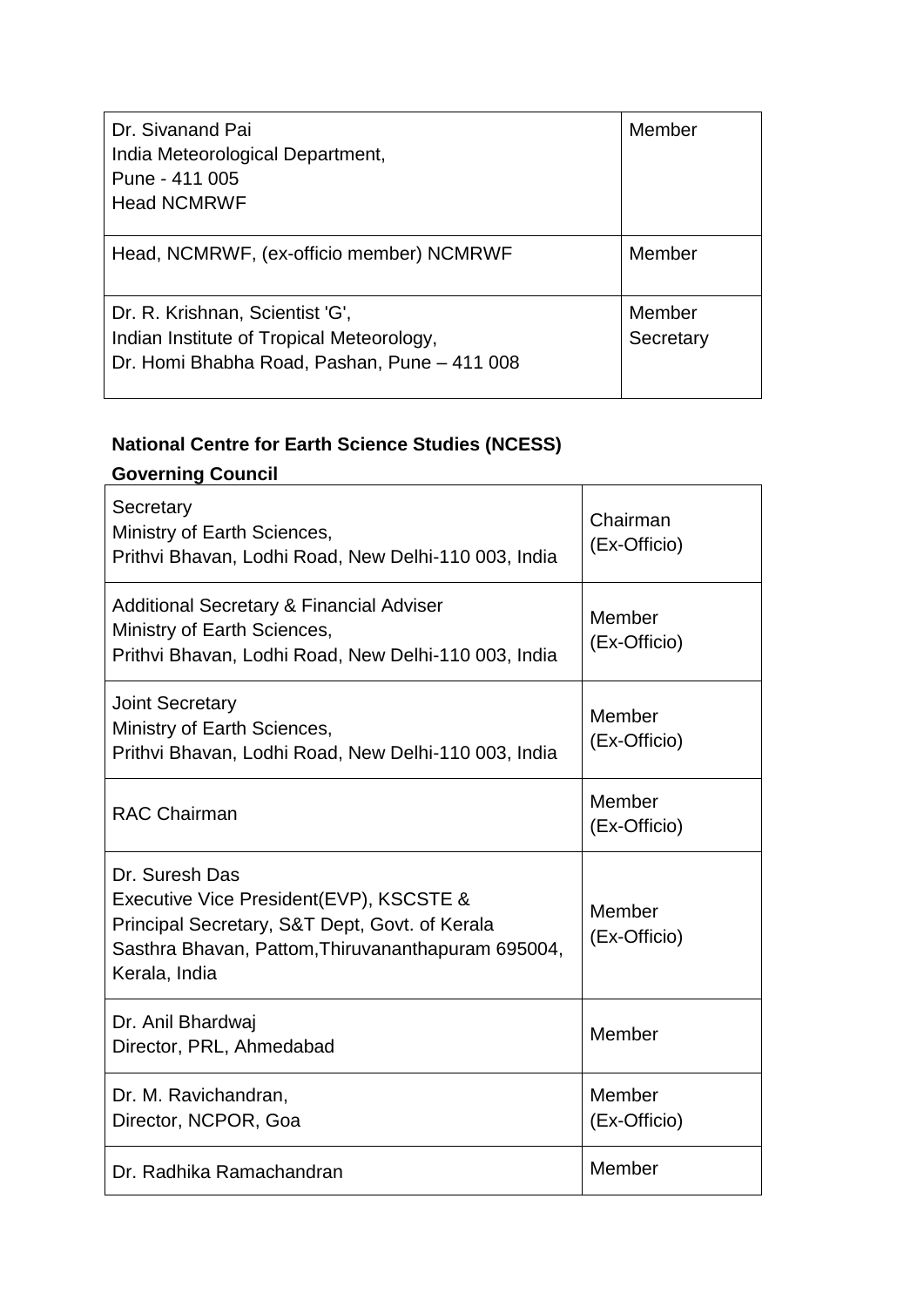| Dr. Sivanand Pai<br>India Meteorological Department,<br>Pune - 411 005<br><b>Head NCMRWF</b>                                 | Member              |
|------------------------------------------------------------------------------------------------------------------------------|---------------------|
| Head, NCMRWF, (ex-officio member) NCMRWF                                                                                     | Member              |
| Dr. R. Krishnan, Scientist 'G',<br>Indian Institute of Tropical Meteorology,<br>Dr. Homi Bhabha Road, Pashan, Pune - 411 008 | Member<br>Secretary |

### **National Centre for Earth Science Studies (NCESS)**

### **Governing Council**

| Secretary<br>Ministry of Earth Sciences,<br>Prithvi Bhavan, Lodhi Road, New Delhi-110 003, India                                                                                   | Chairman<br>(Ex-Officio) |
|------------------------------------------------------------------------------------------------------------------------------------------------------------------------------------|--------------------------|
| <b>Additional Secretary &amp; Financial Adviser</b><br>Ministry of Earth Sciences,<br>Prithvi Bhavan, Lodhi Road, New Delhi-110 003, India                                         | Member<br>(Ex-Officio)   |
| <b>Joint Secretary</b><br>Ministry of Earth Sciences,<br>Prithvi Bhavan, Lodhi Road, New Delhi-110 003, India                                                                      | Member<br>(Ex-Officio)   |
| <b>RAC Chairman</b>                                                                                                                                                                | Member<br>(Ex-Officio)   |
| Dr. Suresh Das<br>Executive Vice President(EVP), KSCSTE &<br>Principal Secretary, S&T Dept, Govt. of Kerala<br>Sasthra Bhavan, Pattom, Thiruvananthapuram 695004,<br>Kerala, India | Member<br>(Ex-Officio)   |
| Dr. Anil Bhardwaj<br>Director, PRL, Ahmedabad                                                                                                                                      | Member                   |
| Dr. M. Ravichandran,<br>Director, NCPOR, Goa                                                                                                                                       | Member<br>(Ex-Officio)   |
| Dr. Radhika Ramachandran                                                                                                                                                           | Member                   |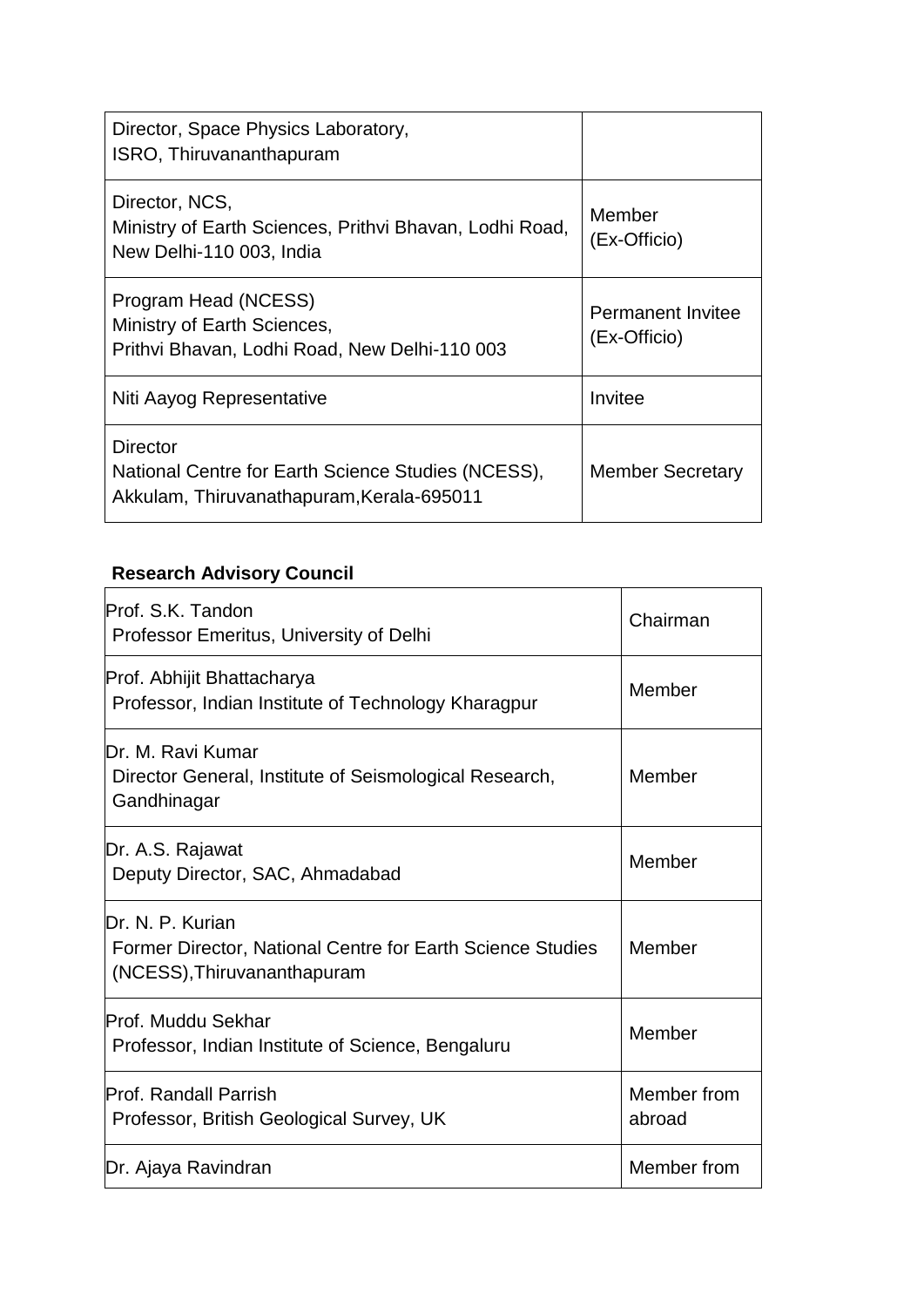| Director, Space Physics Laboratory,<br>ISRO, Thiruvananthapuram                                             |                                          |
|-------------------------------------------------------------------------------------------------------------|------------------------------------------|
| Director, NCS,<br>Ministry of Earth Sciences, Prithvi Bhavan, Lodhi Road,<br>New Delhi-110 003, India       | Member<br>(Ex-Officio)                   |
| Program Head (NCESS)<br>Ministry of Earth Sciences,<br>Prithvi Bhavan, Lodhi Road, New Delhi-110 003        | <b>Permanent Invitee</b><br>(Ex-Officio) |
| Niti Aayog Representative                                                                                   | Invitee                                  |
| Director<br>National Centre for Earth Science Studies (NCESS),<br>Akkulam, Thiruvanathapuram, Kerala-695011 | <b>Member Secretary</b>                  |

### **Research Advisory Council**

| Prof. S.K. Tandon<br>Professor Emeritus, University of Delhi                                                  | Chairman              |
|---------------------------------------------------------------------------------------------------------------|-----------------------|
| Prof. Abhijit Bhattacharya<br>Professor, Indian Institute of Technology Kharagpur                             | Member                |
| Dr. M. Ravi Kumar<br>Director General, Institute of Seismological Research,<br>Gandhinagar                    | Member                |
| Dr. A.S. Rajawat<br>Deputy Director, SAC, Ahmadabad                                                           | Member                |
| Dr. N. P. Kurian<br>Former Director, National Centre for Earth Science Studies<br>(NCESS), Thiruvananthapuram | Member                |
| <b>Prof. Muddu Sekhar</b><br>Professor, Indian Institute of Science, Bengaluru                                | Member                |
| <b>Prof. Randall Parrish</b><br>Professor, British Geological Survey, UK                                      | Member from<br>abroad |
| Dr. Ajaya Ravindran                                                                                           | Member from           |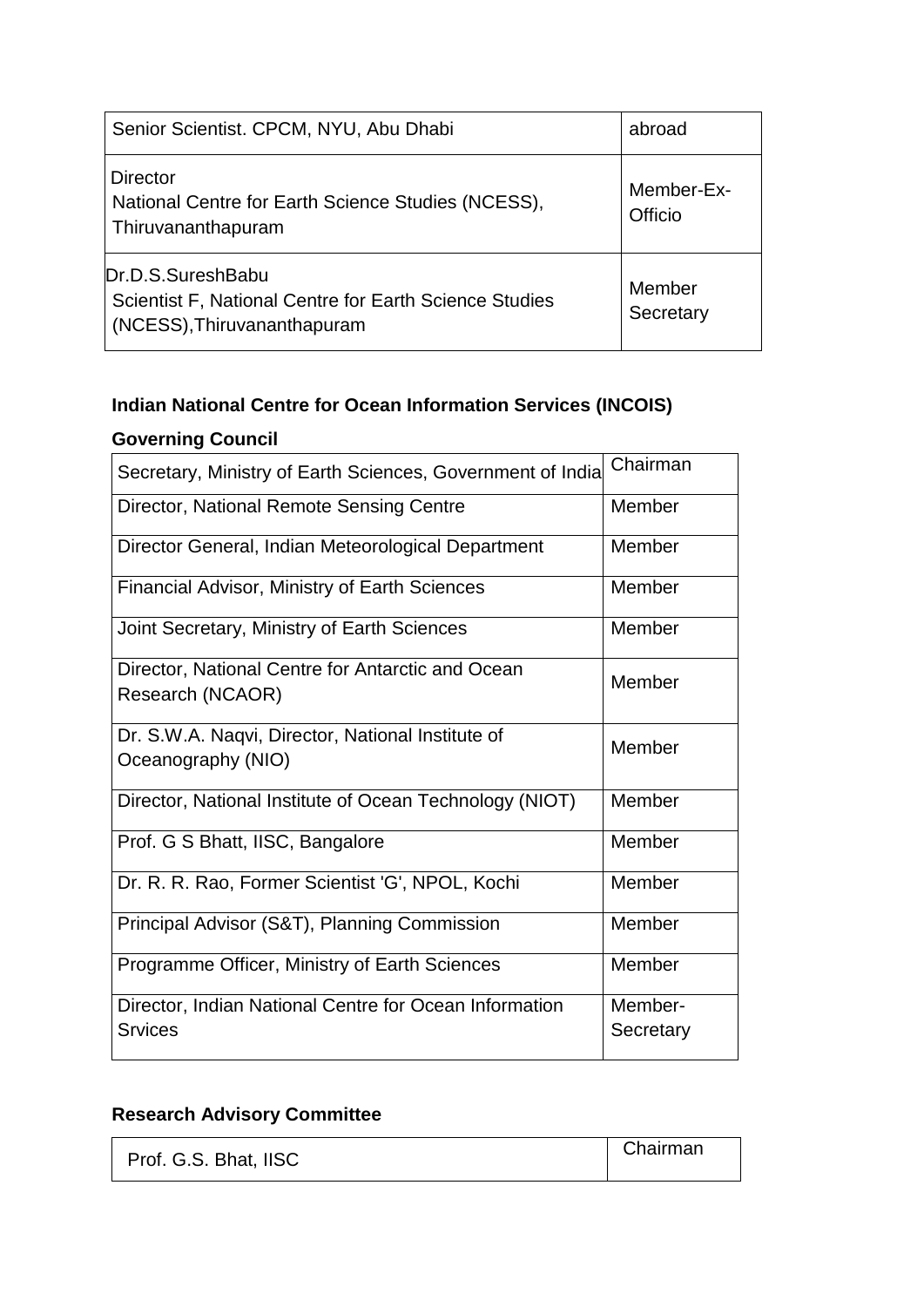| Senior Scientist. CPCM, NYU, Abu Dhabi                                                                     | abroad                |
|------------------------------------------------------------------------------------------------------------|-----------------------|
| <b>Director</b><br>National Centre for Earth Science Studies (NCESS),<br>Thiruvananthapuram                | Member-Ex-<br>Officio |
| Dr.D.S.SureshBabu<br>Scientist F, National Centre for Earth Science Studies<br>(NCESS), Thiruvananthapuram | Member<br>Secretary   |

### **Indian National Centre for Ocean Information Services (INCOIS)**

### **Governing Council**

| Secretary, Ministry of Earth Sciences, Government of India               | Chairman             |
|--------------------------------------------------------------------------|----------------------|
| Director, National Remote Sensing Centre                                 | Member               |
| Director General, Indian Meteorological Department                       | Member               |
| <b>Financial Advisor, Ministry of Earth Sciences</b>                     | Member               |
| Joint Secretary, Ministry of Earth Sciences                              | Member               |
| Director, National Centre for Antarctic and Ocean<br>Research (NCAOR)    | Member               |
| Dr. S.W.A. Naqvi, Director, National Institute of<br>Oceanography (NIO)  | Member               |
| Director, National Institute of Ocean Technology (NIOT)                  | Member               |
| Prof. G S Bhatt, IISC, Bangalore                                         | Member               |
| Dr. R. R. Rao, Former Scientist 'G', NPOL, Kochi                         | Member               |
| Principal Advisor (S&T), Planning Commission                             | Member               |
| Programme Officer, Ministry of Earth Sciences                            | Member               |
| Director, Indian National Centre for Ocean Information<br><b>Srvices</b> | Member-<br>Secretary |

### **Research Advisory Committee**

| Prof. G.S. Bhat, IISC | Chairman |
|-----------------------|----------|
|                       |          |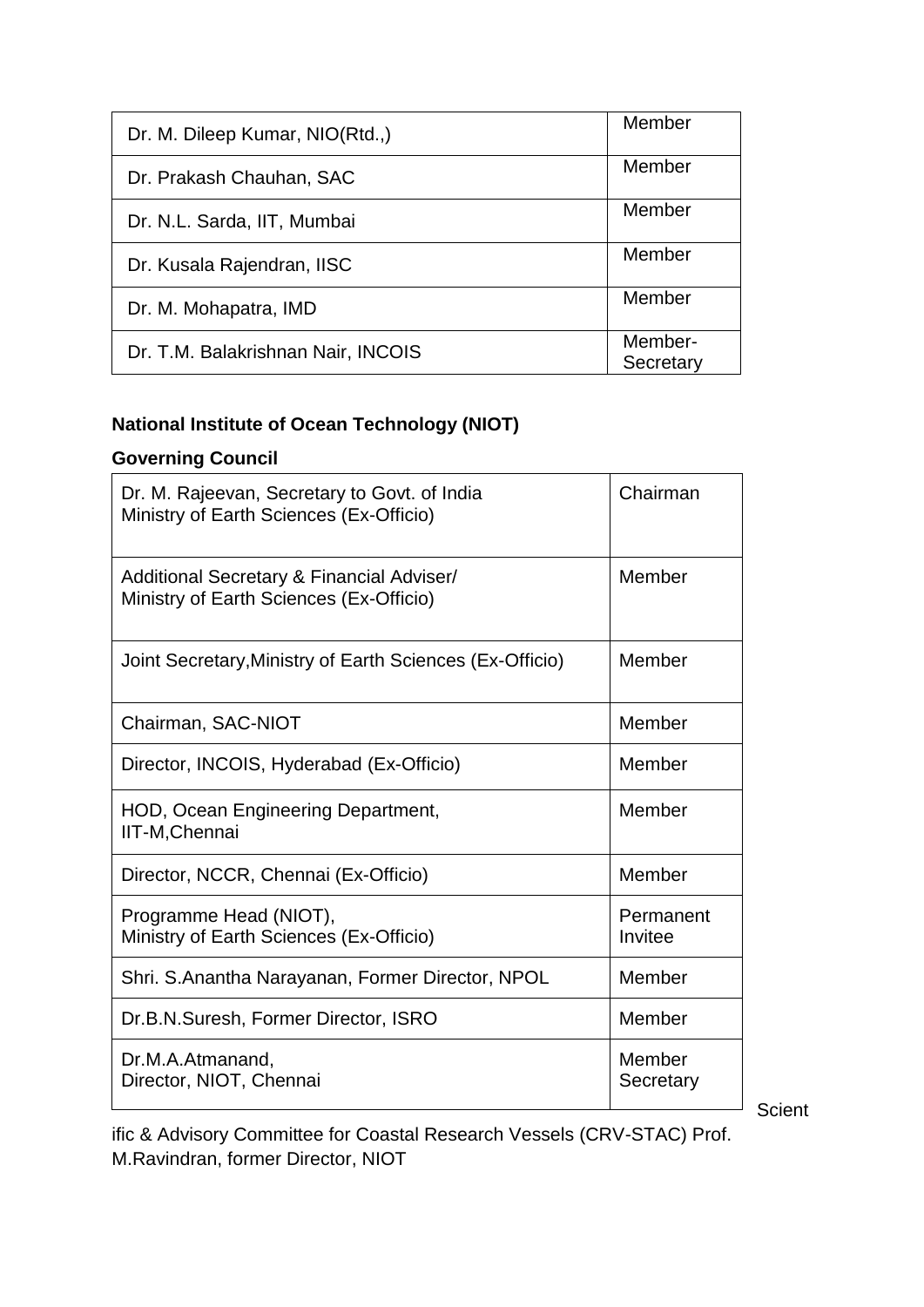| Member               |
|----------------------|
| Member               |
| Member               |
| Member               |
| Member               |
| Member-<br>Secretary |
|                      |

### **National Institute of Ocean Technology (NIOT)**

### **Governing Council**

| Dr. M. Rajeevan, Secretary to Govt. of India<br>Ministry of Earth Sciences (Ex-Officio) | Chairman             |
|-----------------------------------------------------------------------------------------|----------------------|
| Additional Secretary & Financial Adviser/<br>Ministry of Earth Sciences (Ex-Officio)    | Member               |
| Joint Secretary, Ministry of Earth Sciences (Ex-Officio)                                | Member               |
| Chairman, SAC-NIOT                                                                      | Member               |
| Director, INCOIS, Hyderabad (Ex-Officio)                                                | Member               |
| HOD, Ocean Engineering Department,<br>IIT-M, Chennai                                    | Member               |
| Director, NCCR, Chennai (Ex-Officio)                                                    | Member               |
| Programme Head (NIOT),<br>Ministry of Earth Sciences (Ex-Officio)                       | Permanent<br>Invitee |
| Shri. S. Anantha Narayanan, Former Director, NPOL                                       | Member               |
| Dr.B.N.Suresh, Former Director, ISRO                                                    | Member               |
| Dr.M.A.Atmanand,<br>Director, NIOT, Chennai                                             | Member<br>Secretary  |

Scient

ific & Advisory Committee for Coastal Research Vessels (CRV-STAC) Prof. M.Ravindran, former Director, NIOT